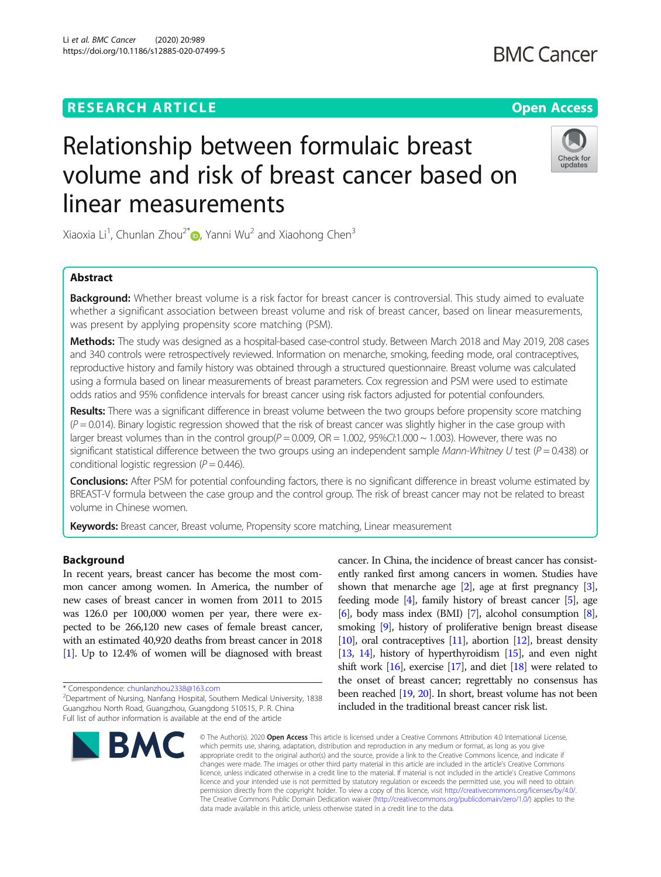Li et al. BMC Cancer (2020) 20:989 https://doi.org/10.1186/s12885-020-07499-5

# Relationship between formulaic breast volume and risk of breast cancer based on linear measurements



Xiaoxia Li<sup>1</sup>, Chunlan Zhou<sup>2\*</sup>®, Yanni Wu<sup>2</sup> and Xiaohong Chen<sup>3</sup>

# Abstract

Background: Whether breast volume is a risk factor for breast cancer is controversial. This study aimed to evaluate whether a significant association between breast volume and risk of breast cancer, based on linear measurements, was present by applying propensity score matching (PSM).

Methods: The study was designed as a hospital-based case-control study. Between March 2018 and May 2019, 208 cases and 340 controls were retrospectively reviewed. Information on menarche, smoking, feeding mode, oral contraceptives, reproductive history and family history was obtained through a structured questionnaire. Breast volume was calculated using a formula based on linear measurements of breast parameters. Cox regression and PSM were used to estimate odds ratios and 95% confidence intervals for breast cancer using risk factors adjusted for potential confounders.

Results: There was a significant difference in breast volume between the two groups before propensity score matching  $(P = 0.014)$ . Binary logistic regression showed that the risk of breast cancer was slightly higher in the case group with larger breast volumes than in the control group( $P = 0.009$ , OR = 1.002, 95%Cl:1.000  $\sim$  1.003). However, there was no significant statistical difference between the two groups using an independent sample Mann-Whitney U test ( $P = 0.438$ ) or conditional logistic regression ( $P = 0.446$ ).

Conclusions: After PSM for potential confounding factors, there is no significant difference in breast volume estimated by BREAST-V formula between the case group and the control group. The risk of breast cancer may not be related to breast volume in Chinese women.

Keywords: Breast cancer, Breast volume, Propensity score matching, Linear measurement

# Background

In recent years, breast cancer has become the most common cancer among women. In America, the number of new cases of breast cancer in women from 2011 to 2015 was 126.0 per 100,000 women per year, there were expected to be 266,120 new cases of female breast cancer, with an estimated 40,920 deaths from breast cancer in 2018 [[1](#page-6-0)]. Up to 12.4% of women will be diagnosed with breast

\* Correspondence: [chunlanzhou2338@163.com](mailto:chunlanzhou2338@163.com) <sup>2</sup>

Department of Nursing, Nanfang Hospital, Southern Medical University, 1838 Guangzhou North Road, Guangzhou, Guangdong 510515, P. R. China Full list of author information is available at the end of the article



cancer. In China, the incidence of breast cancer has consistently ranked first among cancers in women. Studies have shown that menarche age  $[2]$ , age at first pregnancy  $[3]$  $[3]$  $[3]$ , feeding mode [[4](#page-6-0)], family history of breast cancer [[5](#page-6-0)], age [[6](#page-6-0)], body mass index (BMI) [\[7\]](#page-6-0), alcohol consumption [[8](#page-6-0)], smoking [\[9](#page-6-0)], history of proliferative benign breast disease [[10](#page-6-0)], oral contraceptives [\[11\]](#page-6-0), abortion [\[12\]](#page-6-0), breast density [[13](#page-6-0), [14](#page-6-0)], history of hyperthyroidism [[15](#page-6-0)], and even night shift work  $[16]$ , exercise  $[17]$ , and diet  $[18]$  $[18]$  $[18]$  were related to the onset of breast cancer; regrettably no consensus has been reached [\[19,](#page-6-0) [20](#page-6-0)]. In short, breast volume has not been included in the traditional breast cancer risk list.

© The Author(s), 2020 **Open Access** This article is licensed under a Creative Commons Attribution 4.0 International License, which permits use, sharing, adaptation, distribution and reproduction in any medium or format, as long as you give appropriate credit to the original author(s) and the source, provide a link to the Creative Commons licence, and indicate if changes were made. The images or other third party material in this article are included in the article's Creative Commons licence, unless indicated otherwise in a credit line to the material. If material is not included in the article's Creative Commons licence and your intended use is not permitted by statutory regulation or exceeds the permitted use, you will need to obtain permission directly from the copyright holder. To view a copy of this licence, visit [http://creativecommons.org/licenses/by/4.0/.](http://creativecommons.org/licenses/by/4.0/) The Creative Commons Public Domain Dedication waiver [\(http://creativecommons.org/publicdomain/zero/1.0/](http://creativecommons.org/publicdomain/zero/1.0/)) applies to the data made available in this article, unless otherwise stated in a credit line to the data.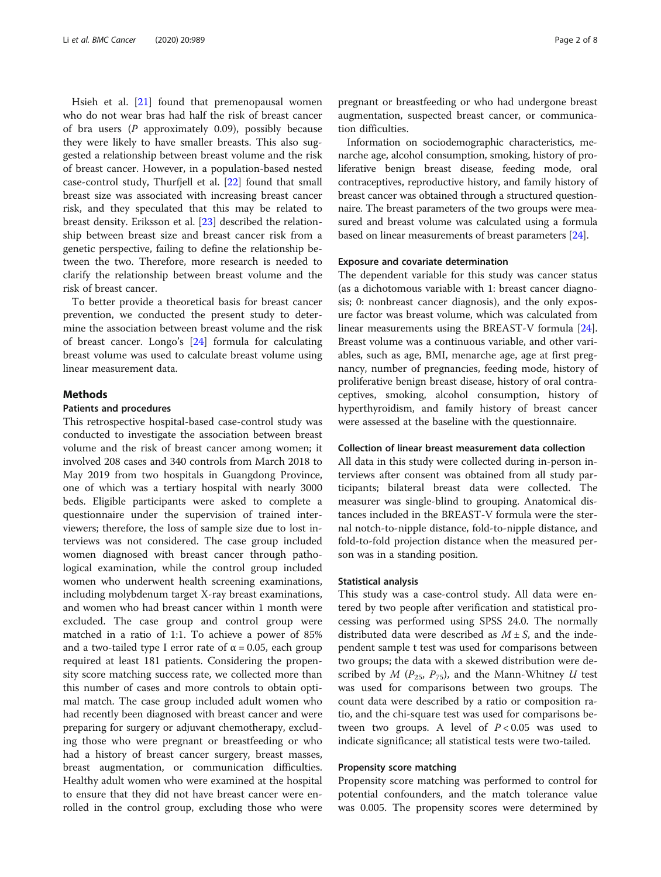Hsieh et al. [\[21](#page-6-0)] found that premenopausal women who do not wear bras had half the risk of breast cancer of bra users  $(P$  approximately 0.09), possibly because they were likely to have smaller breasts. This also suggested a relationship between breast volume and the risk of breast cancer. However, in a population-based nested case-control study, Thurfjell et al. [[22\]](#page-6-0) found that small breast size was associated with increasing breast cancer risk, and they speculated that this may be related to breast density. Eriksson et al. [[23\]](#page-7-0) described the relationship between breast size and breast cancer risk from a genetic perspective, failing to define the relationship between the two. Therefore, more research is needed to clarify the relationship between breast volume and the risk of breast cancer.

To better provide a theoretical basis for breast cancer prevention, we conducted the present study to determine the association between breast volume and the risk of breast cancer. Longo's [\[24\]](#page-7-0) formula for calculating breast volume was used to calculate breast volume using linear measurement data.

# Methods

# Patients and procedures

This retrospective hospital-based case-control study was conducted to investigate the association between breast volume and the risk of breast cancer among women; it involved 208 cases and 340 controls from March 2018 to May 2019 from two hospitals in Guangdong Province, one of which was a tertiary hospital with nearly 3000 beds. Eligible participants were asked to complete a questionnaire under the supervision of trained interviewers; therefore, the loss of sample size due to lost interviews was not considered. The case group included women diagnosed with breast cancer through pathological examination, while the control group included women who underwent health screening examinations, including molybdenum target X-ray breast examinations, and women who had breast cancer within 1 month were excluded. The case group and control group were matched in a ratio of 1:1. To achieve a power of 85% and a two-tailed type I error rate of  $\alpha$  = 0.05, each group required at least 181 patients. Considering the propensity score matching success rate, we collected more than this number of cases and more controls to obtain optimal match. The case group included adult women who had recently been diagnosed with breast cancer and were preparing for surgery or adjuvant chemotherapy, excluding those who were pregnant or breastfeeding or who had a history of breast cancer surgery, breast masses, breast augmentation, or communication difficulties. Healthy adult women who were examined at the hospital to ensure that they did not have breast cancer were enrolled in the control group, excluding those who were

pregnant or breastfeeding or who had undergone breast augmentation, suspected breast cancer, or communication difficulties.

Information on sociodemographic characteristics, menarche age, alcohol consumption, smoking, history of proliferative benign breast disease, feeding mode, oral contraceptives, reproductive history, and family history of breast cancer was obtained through a structured questionnaire. The breast parameters of the two groups were measured and breast volume was calculated using a formula based on linear measurements of breast parameters [[24](#page-7-0)].

#### Exposure and covariate determination

The dependent variable for this study was cancer status (as a dichotomous variable with 1: breast cancer diagnosis; 0: nonbreast cancer diagnosis), and the only exposure factor was breast volume, which was calculated from linear measurements using the BREAST-V formula [\[24](#page-7-0)]. Breast volume was a continuous variable, and other variables, such as age, BMI, menarche age, age at first pregnancy, number of pregnancies, feeding mode, history of proliferative benign breast disease, history of oral contraceptives, smoking, alcohol consumption, history of hyperthyroidism, and family history of breast cancer were assessed at the baseline with the questionnaire.

# Collection of linear breast measurement data collection

All data in this study were collected during in-person interviews after consent was obtained from all study participants; bilateral breast data were collected. The measurer was single-blind to grouping. Anatomical distances included in the BREAST-V formula were the sternal notch-to-nipple distance, fold-to-nipple distance, and fold-to-fold projection distance when the measured person was in a standing position.

#### Statistical analysis

This study was a case-control study. All data were entered by two people after verification and statistical processing was performed using SPSS 24.0. The normally distributed data were described as  $M \pm S$ , and the independent sample t test was used for comparisons between two groups; the data with a skewed distribution were described by M ( $P_{25}$ ,  $P_{75}$ ), and the Mann-Whitney U test was used for comparisons between two groups. The count data were described by a ratio or composition ratio, and the chi-square test was used for comparisons between two groups. A level of  $P < 0.05$  was used to indicate significance; all statistical tests were two-tailed.

# Propensity score matching

Propensity score matching was performed to control for potential confounders, and the match tolerance value was 0.005. The propensity scores were determined by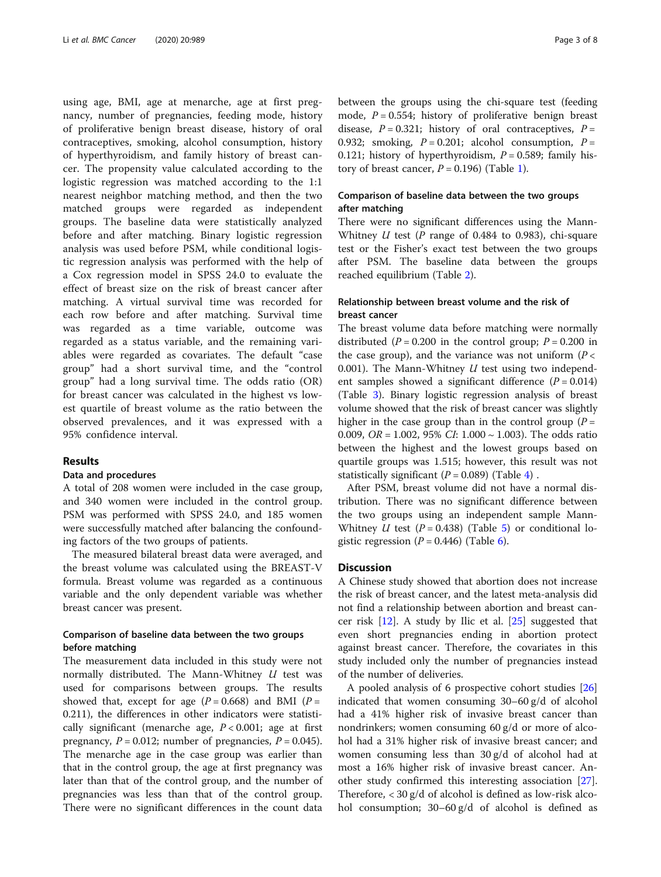using age, BMI, age at menarche, age at first pregnancy, number of pregnancies, feeding mode, history of proliferative benign breast disease, history of oral contraceptives, smoking, alcohol consumption, history of hyperthyroidism, and family history of breast cancer. The propensity value calculated according to the logistic regression was matched according to the 1:1 nearest neighbor matching method, and then the two matched groups were regarded as independent groups. The baseline data were statistically analyzed before and after matching. Binary logistic regression analysis was used before PSM, while conditional logistic regression analysis was performed with the help of a Cox regression model in SPSS 24.0 to evaluate the effect of breast size on the risk of breast cancer after matching. A virtual survival time was recorded for each row before and after matching. Survival time was regarded as a time variable, outcome was regarded as a status variable, and the remaining variables were regarded as covariates. The default "case group" had a short survival time, and the "control group" had a long survival time. The odds ratio (OR) for breast cancer was calculated in the highest vs lowest quartile of breast volume as the ratio between the observed prevalences, and it was expressed with a 95% confidence interval.

## Results

## Data and procedures

A total of 208 women were included in the case group, and 340 women were included in the control group. PSM was performed with SPSS 24.0, and 185 women were successfully matched after balancing the confounding factors of the two groups of patients.

The measured bilateral breast data were averaged, and the breast volume was calculated using the BREAST-V formula. Breast volume was regarded as a continuous variable and the only dependent variable was whether breast cancer was present.

# Comparison of baseline data between the two groups before matching

The measurement data included in this study were not normally distributed. The Mann-Whitney U test was used for comparisons between groups. The results showed that, except for age  $(P = 0.668)$  and BMI  $(P =$ 0.211), the differences in other indicators were statistically significant (menarche age,  $P < 0.001$ ; age at first pregnancy,  $P = 0.012$ ; number of pregnancies,  $P = 0.045$ ). The menarche age in the case group was earlier than that in the control group, the age at first pregnancy was later than that of the control group, and the number of pregnancies was less than that of the control group. There were no significant differences in the count data between the groups using the chi-square test (feeding mode,  $P = 0.554$ ; history of proliferative benign breast disease,  $P = 0.321$ ; history of oral contraceptives,  $P =$ 0.932; smoking,  $P = 0.201$ ; alcohol consumption,  $P =$ 0.121; history of hyperthyroidism,  $P = 0.589$ ; family history of breast cancer,  $P = 0.196$  $P = 0.196$  $P = 0.196$ ) (Table 1).

# Comparison of baseline data between the two groups after matching

There were no significant differences using the Mann-Whitney  $U$  test (P range of 0.484 to 0.983), chi-square test or the Fisher's exact test between the two groups after PSM. The baseline data between the groups reached equilibrium (Table [2\)](#page-4-0).

# Relationship between breast volume and the risk of breast cancer

The breast volume data before matching were normally distributed ( $P = 0.200$  in the control group;  $P = 0.200$  in the case group), and the variance was not uniform  $(P <$ 0.001). The Mann-Whitney  $U$  test using two independent samples showed a significant difference  $(P = 0.014)$ (Table [3](#page-4-0)). Binary logistic regression analysis of breast volume showed that the risk of breast cancer was slightly higher in the case group than in the control group  $(P =$ 0.009,  $OR = 1.002$ , 95%  $CI: 1.000 \sim 1.003$ ). The odds ratio between the highest and the lowest groups based on quartile groups was 1.515; however, this result was not statistically significant ( $P = 0.089$ ) (Table [4\)](#page-5-0).

After PSM, breast volume did not have a normal distribution. There was no significant difference between the two groups using an independent sample Mann-Whitney U test  $(P = 0.438)$  (Table [5\)](#page-5-0) or conditional logistic regression  $(P = 0.446)$  $(P = 0.446)$  $(P = 0.446)$  (Table 6).

# **Discussion**

A Chinese study showed that abortion does not increase the risk of breast cancer, and the latest meta-analysis did not find a relationship between abortion and breast cancer risk [\[12\]](#page-6-0). A study by Ilic et al. [\[25](#page-7-0)] suggested that even short pregnancies ending in abortion protect against breast cancer. Therefore, the covariates in this study included only the number of pregnancies instead of the number of deliveries.

A pooled analysis of 6 prospective cohort studies [[26](#page-7-0)] indicated that women consuming 30–60 g/d of alcohol had a 41% higher risk of invasive breast cancer than nondrinkers; women consuming 60 g/d or more of alcohol had a 31% higher risk of invasive breast cancer; and women consuming less than 30 g/d of alcohol had at most a 16% higher risk of invasive breast cancer. Another study confirmed this interesting association [\[27](#page-7-0)]. Therefore, < 30 g/d of alcohol is defined as low-risk alcohol consumption; 30–60 g/d of alcohol is defined as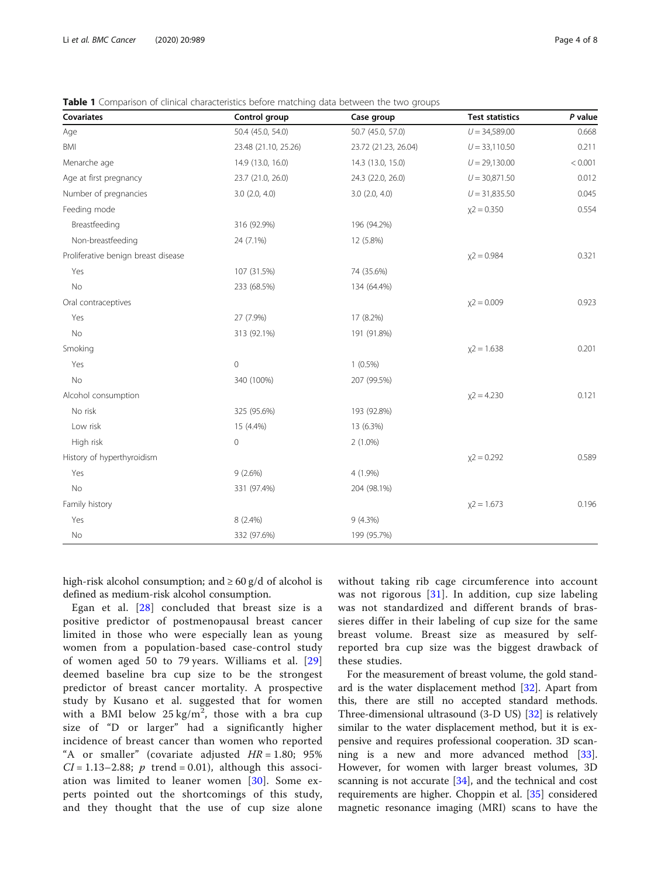| Covariates                          | Control group        | Case group           | <b>Test statistics</b> | P value |
|-------------------------------------|----------------------|----------------------|------------------------|---------|
| Age                                 | 50.4 (45.0, 54.0)    | 50.7 (45.0, 57.0)    | $U = 34,589.00$        | 0.668   |
| <b>BMI</b>                          | 23.48 (21.10, 25.26) | 23.72 (21.23, 26.04) | $U = 33,110.50$        | 0.211   |
| Menarche age                        | 14.9 (13.0, 16.0)    | 14.3 (13.0, 15.0)    | $U = 29,130.00$        | < 0.001 |
| Age at first pregnancy              | 23.7 (21.0, 26.0)    | 24.3 (22.0, 26.0)    | $U = 30,871.50$        | 0.012   |
| Number of pregnancies               | 3.0(2.0, 4.0)        | 3.0(2.0, 4.0)        | $U = 31,835.50$        | 0.045   |
| Feeding mode                        |                      |                      | $x2 = 0.350$           | 0.554   |
| Breastfeeding                       | 316 (92.9%)          | 196 (94.2%)          |                        |         |
| Non-breastfeeding                   | 24 (7.1%)            | 12 (5.8%)            |                        |         |
| Proliferative benign breast disease |                      |                      | $x^2 = 0.984$          | 0.321   |
| Yes                                 | 107 (31.5%)          | 74 (35.6%)           |                        |         |
| <b>No</b>                           | 233 (68.5%)          | 134 (64.4%)          |                        |         |
| Oral contraceptives                 |                      |                      | $x^2 = 0.009$          | 0.923   |
| Yes                                 | 27 (7.9%)            | 17 (8.2%)            |                        |         |
| <b>No</b>                           | 313 (92.1%)          | 191 (91.8%)          |                        |         |
| Smoking                             |                      |                      | $x^2 = 1.638$          | 0.201   |
| Yes                                 | $\mathbf 0$          | $1(0.5\%)$           |                        |         |
| <b>No</b>                           | 340 (100%)           | 207 (99.5%)          |                        |         |
| Alcohol consumption                 |                      |                      | $x2 = 4.230$           | 0.121   |
| No risk                             | 325 (95.6%)          | 193 (92.8%)          |                        |         |
| Low risk                            | 15 (4.4%)            | 13 (6.3%)            |                        |         |
| High risk                           | $\mathbf 0$          | $2(1.0\%)$           |                        |         |
| History of hyperthyroidism          |                      |                      | $x^2 = 0.292$          | 0.589   |
| Yes                                 | 9(2.6%)              | 4 (1.9%)             |                        |         |
| No                                  | 331 (97.4%)          | 204 (98.1%)          |                        |         |
| Family history                      |                      |                      | $x^2 = 1.673$          | 0.196   |
| Yes                                 | 8 (2.4%)             | $9(4.3\%)$           |                        |         |
| No                                  | 332 (97.6%)          | 199 (95.7%)          |                        |         |

<span id="page-3-0"></span>**Table 1** Comparison of clinical characteristics before matching data between the two groups

high-risk alcohol consumption; and  $\geq 60$  g/d of alcohol is defined as medium-risk alcohol consumption.

Egan et al. [[28\]](#page-7-0) concluded that breast size is a positive predictor of postmenopausal breast cancer limited in those who were especially lean as young women from a population-based case-control study of women aged 50 to 79 years. Williams et al. [\[29](#page-7-0)] deemed baseline bra cup size to be the strongest predictor of breast cancer mortality. A prospective study by Kusano et al. suggested that for women with a BMI below  $25 \text{ kg/m}^2$ , those with a bra cup size of "D or larger" had a significantly higher incidence of breast cancer than women who reported "A or smaller" (covariate adjusted  $HR = 1.80; 95\%$  $CI = 1.13-2.88$ ; p trend = 0.01), although this association was limited to leaner women [[30\]](#page-7-0). Some experts pointed out the shortcomings of this study, and they thought that the use of cup size alone without taking rib cage circumference into account was not rigorous [[31\]](#page-7-0). In addition, cup size labeling was not standardized and different brands of brassieres differ in their labeling of cup size for the same breast volume. Breast size as measured by selfreported bra cup size was the biggest drawback of these studies.

For the measurement of breast volume, the gold standard is the water displacement method [\[32\]](#page-7-0). Apart from this, there are still no accepted standard methods. Three-dimensional ultrasound (3-D US) [\[32](#page-7-0)] is relatively similar to the water displacement method, but it is expensive and requires professional cooperation. 3D scanning is a new and more advanced method [\[33](#page-7-0)]. However, for women with larger breast volumes, 3D scanning is not accurate [\[34](#page-7-0)], and the technical and cost requirements are higher. Choppin et al. [[35](#page-7-0)] considered magnetic resonance imaging (MRI) scans to have the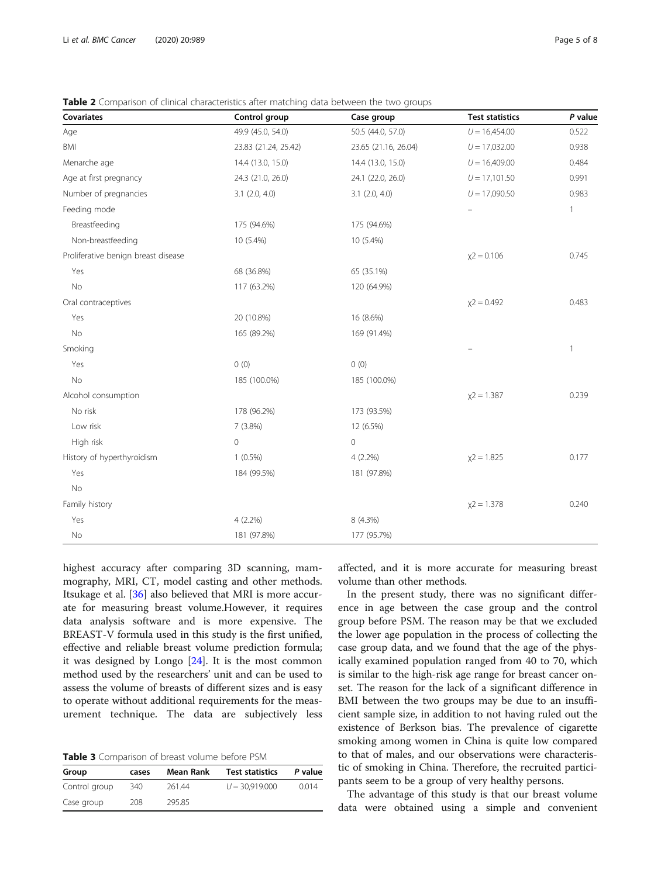| Covariates                          | Control group        | Case group           | <b>Test statistics</b> | P value      |
|-------------------------------------|----------------------|----------------------|------------------------|--------------|
| Age                                 | 49.9 (45.0, 54.0)    | 50.5 (44.0, 57.0)    | $U = 16,454.00$        | 0.522        |
| <b>BMI</b>                          | 23.83 (21.24, 25.42) | 23.65 (21.16, 26.04) | $U = 17,032.00$        | 0.938        |
| Menarche age                        | 14.4 (13.0, 15.0)    | 14.4 (13.0, 15.0)    | $U = 16,409.00$        | 0.484        |
| Age at first pregnancy              | 24.3 (21.0, 26.0)    | 24.1 (22.0, 26.0)    | $U = 17,101.50$        | 0.991        |
| Number of pregnancies               | $3.1$ $(2.0, 4.0)$   | $3.1$ $(2.0, 4.0)$   | $U = 17,090.50$        | 0.983        |
| Feeding mode                        |                      |                      |                        | 1            |
| Breastfeeding                       | 175 (94.6%)          | 175 (94.6%)          |                        |              |
| Non-breastfeeding                   | 10 (5.4%)            | 10 (5.4%)            |                        |              |
| Proliferative benign breast disease |                      |                      | $x^2 = 0.106$          | 0.745        |
| Yes                                 | 68 (36.8%)           | 65 (35.1%)           |                        |              |
| No                                  | 117 (63.2%)          | 120 (64.9%)          |                        |              |
| Oral contraceptives                 |                      |                      | $x^2 = 0.492$          | 0.483        |
| Yes                                 | 20 (10.8%)           | 16 (8.6%)            |                        |              |
| $\rm No$                            | 165 (89.2%)          | 169 (91.4%)          |                        |              |
| Smoking                             |                      |                      |                        | $\mathbf{1}$ |
| Yes                                 | 0(0)                 | 0(0)                 |                        |              |
| No                                  | 185 (100.0%)         | 185 (100.0%)         |                        |              |
| Alcohol consumption                 |                      |                      | $x^2 = 1.387$          | 0.239        |
| No risk                             | 178 (96.2%)          | 173 (93.5%)          |                        |              |
| Low risk                            | 7 (3.8%)             | 12 (6.5%)            |                        |              |
| High risk                           | $\mathbf 0$          | $\mathbf 0$          |                        |              |
| History of hyperthyroidism          | $1(0.5\%)$           | 4 (2.2%)             | $x^2 = 1.825$          | 0.177        |
| Yes                                 | 184 (99.5%)          | 181 (97.8%)          |                        |              |
| No                                  |                      |                      |                        |              |
| Family history                      |                      |                      | $x^2 = 1.378$          | 0.240        |
| Yes                                 | $4(2.2\%)$           | 8 (4.3%)             |                        |              |
| No                                  | 181 (97.8%)          | 177 (95.7%)          |                        |              |

<span id="page-4-0"></span>Table 2 Comparison of clinical characteristics after matching data between the two groups

highest accuracy after comparing 3D scanning, mammography, MRI, CT, model casting and other methods. Itsukage et al. [[36](#page-7-0)] also believed that MRI is more accurate for measuring breast volume.However, it requires data analysis software and is more expensive. The BREAST-V formula used in this study is the first unified, effective and reliable breast volume prediction formula; it was designed by Longo  $[24]$  $[24]$ . It is the most common method used by the researchers' unit and can be used to assess the volume of breasts of different sizes and is easy to operate without additional requirements for the measurement technique. The data are subjectively less

Table 3 Comparison of breast volume before PSM

| Group         | cases | Mean Rank | <b>Test statistics</b> | P value |
|---------------|-------|-----------|------------------------|---------|
| Control group | 340   | 261.44    | $U = 30.919,000$       | 0.014   |
| Case group    | 208   | 295.85    |                        |         |

affected, and it is more accurate for measuring breast volume than other methods.

In the present study, there was no significant difference in age between the case group and the control group before PSM. The reason may be that we excluded the lower age population in the process of collecting the case group data, and we found that the age of the physically examined population ranged from 40 to 70, which is similar to the high-risk age range for breast cancer onset. The reason for the lack of a significant difference in BMI between the two groups may be due to an insufficient sample size, in addition to not having ruled out the existence of Berkson bias. The prevalence of cigarette smoking among women in China is quite low compared to that of males, and our observations were characteristic of smoking in China. Therefore, the recruited participants seem to be a group of very healthy persons.

The advantage of this study is that our breast volume data were obtained using a simple and convenient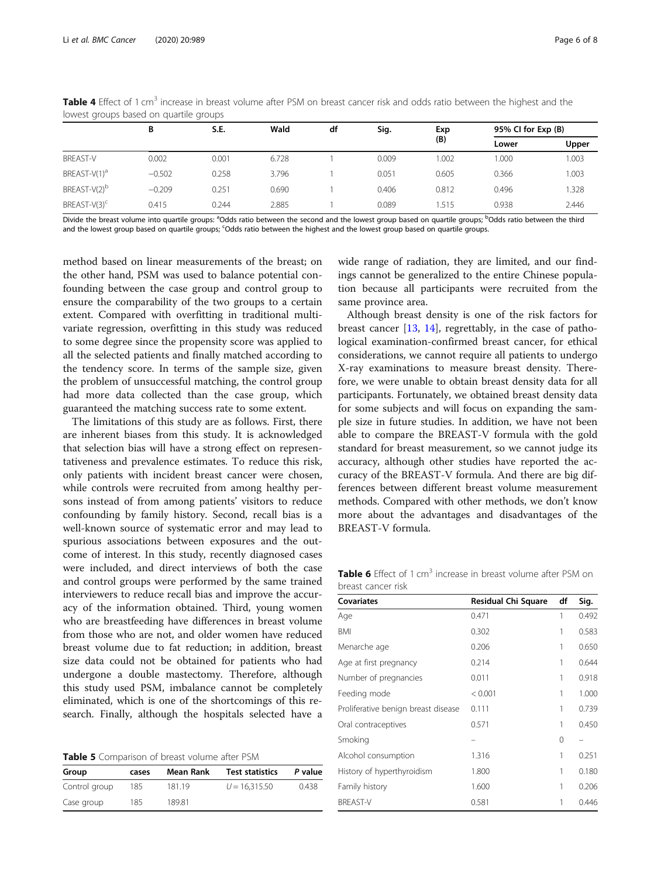|                          | B        | S.E.  | Wald  | df | Sig.  | Exp<br>(B) |       | 95% CI for Exp (B) |  |
|--------------------------|----------|-------|-------|----|-------|------------|-------|--------------------|--|
|                          |          |       |       |    |       |            | Lower | Upper              |  |
| <b>BREAST-V</b>          | 0.002    | 0.001 | 6.728 |    | 0.009 | .002       | .000  | 003                |  |
| BREAST-V(1) <sup>a</sup> | $-0.502$ | 0.258 | 3.796 |    | 0.051 | 0.605      | 0.366 | 003                |  |
| BREAST-V(2) <sup>b</sup> | $-0.209$ | 0.251 | 0.690 |    | 0.406 | 0.812      | 0.496 | .328               |  |
| BREAST-V(3) <sup>c</sup> | 0.415    | 0.244 | 2.885 |    | 0.089 | .515       | 0.938 | 2.446              |  |

<span id="page-5-0"></span>Table 4 Effect of 1 cm<sup>3</sup> increase in breast volume after PSM on breast cancer risk and odds ratio between the highest and the lowest groups based on quartile groups

Divide the breast volume into quartile groups: <sup>a</sup>Odds ratio between the second and the lowest group based on quartile groups; <sup>b</sup>Odds ratio between the third and the lowest group based on quartile groups; <sup>c</sup>Odds ratio between the highest and the lowest group based on quartile groups.

method based on linear measurements of the breast; on the other hand, PSM was used to balance potential confounding between the case group and control group to ensure the comparability of the two groups to a certain extent. Compared with overfitting in traditional multivariate regression, overfitting in this study was reduced to some degree since the propensity score was applied to all the selected patients and finally matched according to the tendency score. In terms of the sample size, given the problem of unsuccessful matching, the control group had more data collected than the case group, which guaranteed the matching success rate to some extent.

The limitations of this study are as follows. First, there are inherent biases from this study. It is acknowledged that selection bias will have a strong effect on representativeness and prevalence estimates. To reduce this risk, only patients with incident breast cancer were chosen, while controls were recruited from among healthy persons instead of from among patients' visitors to reduce confounding by family history. Second, recall bias is a well-known source of systematic error and may lead to spurious associations between exposures and the outcome of interest. In this study, recently diagnosed cases were included, and direct interviews of both the case and control groups were performed by the same trained interviewers to reduce recall bias and improve the accuracy of the information obtained. Third, young women who are breastfeeding have differences in breast volume from those who are not, and older women have reduced breast volume due to fat reduction; in addition, breast size data could not be obtained for patients who had undergone a double mastectomy. Therefore, although this study used PSM, imbalance cannot be completely eliminated, which is one of the shortcomings of this research. Finally, although the hospitals selected have a

Table 5 Comparison of breast volume after PSM

| Group         | cases | Mean Rank | <b>Test statistics</b> | P value |
|---------------|-------|-----------|------------------------|---------|
| Control group | 185   | 181.19    | $U = 16.315.50$        | 0.438   |
| Case group    | 185   | 189.81    |                        |         |

wide range of radiation, they are limited, and our findings cannot be generalized to the entire Chinese population because all participants were recruited from the same province area.

Although breast density is one of the risk factors for breast cancer [[13](#page-6-0), [14](#page-6-0)], regrettably, in the case of pathological examination-confirmed breast cancer, for ethical considerations, we cannot require all patients to undergo X-ray examinations to measure breast density. Therefore, we were unable to obtain breast density data for all participants. Fortunately, we obtained breast density data for some subjects and will focus on expanding the sample size in future studies. In addition, we have not been able to compare the BREAST-V formula with the gold standard for breast measurement, so we cannot judge its accuracy, although other studies have reported the accuracy of the BREAST-V formula. And there are big differences between different breast volume measurement methods. Compared with other methods, we don't know more about the advantages and disadvantages of the BREAST-V formula.

Table 6 Effect of 1 cm<sup>3</sup> increase in breast volume after PSM on breast cancer risk

| <b>Covariates</b>                   | Residual Chi Square | df | Sig.  |
|-------------------------------------|---------------------|----|-------|
| Age                                 | 0.471               | 1  | 0.492 |
| <b>BMI</b>                          | 0.302               | 1  | 0.583 |
| Menarche age                        | 0.206               | 1  | 0.650 |
| Age at first pregnancy              | 0.214               | 1  | 0.644 |
| Number of pregnancies               | 0.011               | 1  | 0.918 |
| Feeding mode                        | < 0.001             | 1  | 1.000 |
| Proliferative benign breast disease | 0.111               | 1  | 0.739 |
| Oral contraceptives                 | 0.571               | 1  | 0.450 |
| Smoking                             |                     | 0  |       |
| Alcohol consumption                 | 1.316               | 1  | 0.251 |
| History of hyperthyroidism          | 1.800               | 1  | 0.180 |
| Family history                      | 1.600               | 1  | 0.206 |
| <b>BREAST-V</b>                     | 0.581               | 1  | 0.446 |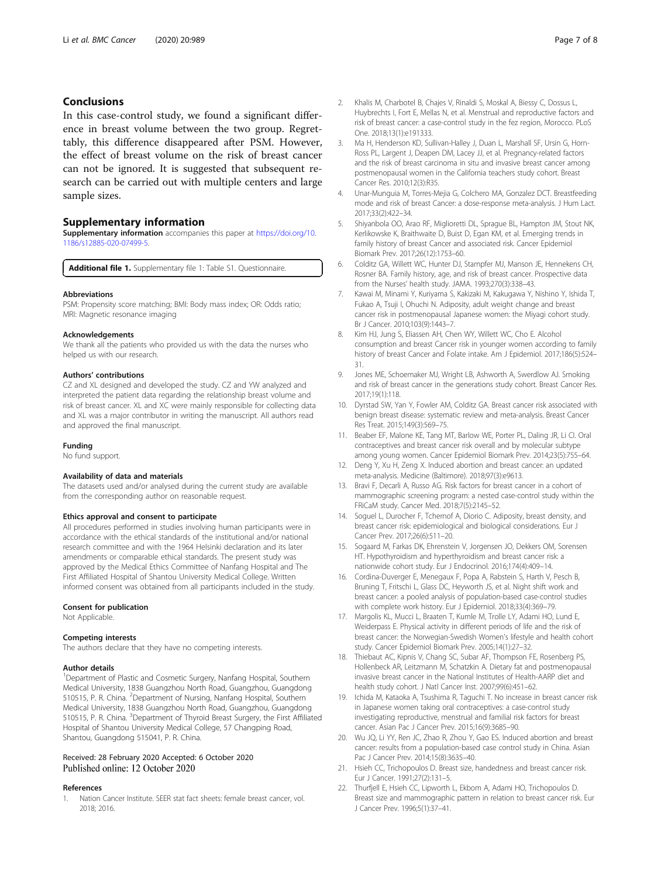# <span id="page-6-0"></span>Conclusions

In this case-control study, we found a significant difference in breast volume between the two group. Regrettably, this difference disappeared after PSM. However, the effect of breast volume on the risk of breast cancer can not be ignored. It is suggested that subsequent research can be carried out with multiple centers and large sample sizes.

# Supplementary information

Supplementary information accompanies this paper at [https://doi.org/10.](https://doi.org/10.1186/s12885-020-07499-5) [1186/s12885-020-07499-5](https://doi.org/10.1186/s12885-020-07499-5).

Additional file 1. Supplementary file 1: Table S1. Questionnaire.

#### **Abbreviations**

PSM: Propensity score matching; BMI: Body mass index; OR: Odds ratio; MRI: Magnetic resonance imaging

#### Acknowledgements

We thank all the patients who provided us with the data the nurses who helped us with our research.

#### Authors' contributions

CZ and XL designed and developed the study. CZ and YW analyzed and interpreted the patient data regarding the relationship breast volume and risk of breast cancer. XL and XC were mainly responsible for collecting data and XL was a major contributor in writing the manuscript. All authors read and approved the final manuscript.

#### Funding

No fund support.

#### Availability of data and materials

The datasets used and/or analysed during the current study are available from the corresponding author on reasonable request.

#### Ethics approval and consent to participate

All procedures performed in studies involving human participants were in accordance with the ethical standards of the institutional and/or national research committee and with the 1964 Helsinki declaration and its later amendments or comparable ethical standards. The present study was approved by the Medical Ethics Committee of Nanfang Hospital and The First Affiliated Hospital of Shantou University Medical College. Written informed consent was obtained from all participants included in the study.

#### Consent for publication

Not Applicable.

#### Competing interests

The authors declare that they have no competing interests.

#### Author details

<sup>1</sup>Department of Plastic and Cosmetic Surgery, Nanfang Hospital, Southern Medical University, 1838 Guangzhou North Road, Guangzhou, Guangdong 510515, P. R. China. <sup>2</sup>Department of Nursing, Nanfang Hospital, Southern Medical University, 1838 Guangzhou North Road, Guangzhou, Guangdong 510515, P. R. China. <sup>3</sup>Department of Thyroid Breast Surgery, the First Affiliated Hospital of Shantou University Medical College, 57 Changping Road, Shantou, Guangdong 515041, P. R. China.

## Received: 28 February 2020 Accepted: 6 October 2020 Published online: 12 October 2020

#### References

1. Nation Cancer Institute. SEER stat fact sheets: female breast cancer, vol. 2018; 2016.

- 2. Khalis M, Charbotel B, Chajes V, Rinaldi S, Moskal A, Biessy C, Dossus L, Huybrechts I, Fort E, Mellas N, et al. Menstrual and reproductive factors and risk of breast cancer: a case-control study in the fez region, Morocco. PLoS One. 2018;13(1):e191333.
- 3. Ma H, Henderson KD, Sullivan-Halley J, Duan L, Marshall SF, Ursin G, Horn-Ross PL, Largent J, Deapen DM, Lacey JJ, et al. Pregnancy-related factors and the risk of breast carcinoma in situ and invasive breast cancer among postmenopausal women in the California teachers study cohort. Breast Cancer Res. 2010;12(3):R35.
- 4. Unar-Munguia M, Torres-Mejia G, Colchero MA, Gonzalez DCT. Breastfeeding mode and risk of breast Cancer: a dose-response meta-analysis. J Hum Lact. 2017;33(2):422–34.
- 5. Shiyanbola OO, Arao RF, Miglioretti DL, Sprague BL, Hampton JM, Stout NK, Kerlikowske K, Braithwaite D, Buist D, Egan KM, et al. Emerging trends in family history of breast Cancer and associated risk. Cancer Epidemiol Biomark Prev. 2017;26(12):1753–60.
- 6. Colditz GA, Willett WC, Hunter DJ, Stampfer MJ, Manson JE, Hennekens CH, Rosner BA. Family history, age, and risk of breast cancer. Prospective data from the Nurses' health study. JAMA. 1993;270(3):338–43.
- 7. Kawai M, Minami Y, Kuriyama S, Kakizaki M, Kakugawa Y, Nishino Y, Ishida T, Fukao A, Tsuji I, Ohuchi N. Adiposity, adult weight change and breast cancer risk in postmenopausal Japanese women: the Miyagi cohort study. Br J Cancer. 2010;103(9):1443–7.
- 8. Kim HJ, Jung S, Eliassen AH, Chen WY, Willett WC, Cho E. Alcohol consumption and breast Cancer risk in younger women according to family history of breast Cancer and Folate intake. Am J Epidemiol. 2017;186(5):524– 31.
- 9. Jones ME, Schoemaker MJ, Wright LB, Ashworth A, Swerdlow AJ. Smoking and risk of breast cancer in the generations study cohort. Breast Cancer Res. 2017;19(1):118.
- 10. Dyrstad SW, Yan Y, Fowler AM, Colditz GA. Breast cancer risk associated with benign breast disease: systematic review and meta-analysis. Breast Cancer Res Treat. 2015;149(3):569–75.
- 11. Beaber EF, Malone KE, Tang MT, Barlow WE, Porter PL, Daling JR, Li CI. Oral contraceptives and breast cancer risk overall and by molecular subtype among young women. Cancer Epidemiol Biomark Prev. 2014;23(5):755–64.
- 12. Deng Y, Xu H, Zeng X. Induced abortion and breast cancer: an updated meta-analysis. Medicine (Baltimore). 2018;97(3):e9613.
- 13. Bravi F, Decarli A, Russo AG. Risk factors for breast cancer in a cohort of mammographic screening program: a nested case-control study within the FRiCaM study. Cancer Med. 2018;7(5):2145–52.
- 14. Soguel L, Durocher F, Tchernof A, Diorio C. Adiposity, breast density, and breast cancer risk: epidemiological and biological considerations. Eur J Cancer Prev. 2017;26(6):511–20.
- 15. Sogaard M, Farkas DK, Ehrenstein V, Jorgensen JO, Dekkers OM, Sorensen HT. Hypothyroidism and hyperthyroidism and breast cancer risk: a nationwide cohort study. Eur J Endocrinol. 2016;174(4):409–14.
- 16. Cordina-Duverger E, Menegaux F, Popa A, Rabstein S, Harth V, Pesch B, Bruning T, Fritschi L, Glass DC, Heyworth JS, et al. Night shift work and breast cancer: a pooled analysis of population-based case-control studies with complete work history. Eur J Epidemiol. 2018;33(4):369–79.
- 17. Margolis KL, Mucci L, Braaten T, Kumle M, Trolle LY, Adami HO, Lund E, Weiderpass E. Physical activity in different periods of life and the risk of breast cancer: the Norwegian-Swedish Women's lifestyle and health cohort study. Cancer Epidemiol Biomark Prev. 2005;14(1):27–32.
- 18. Thiebaut AC, Kipnis V, Chang SC, Subar AF, Thompson FE, Rosenberg PS, Hollenbeck AR, Leitzmann M, Schatzkin A. Dietary fat and postmenopausal invasive breast cancer in the National Institutes of Health-AARP diet and health study cohort. J Natl Cancer Inst. 2007;99(6):451–62.
- 19. Ichida M, Kataoka A, Tsushima R, Taguchi T. No increase in breast cancer risk in Japanese women taking oral contraceptives: a case-control study investigating reproductive, menstrual and familial risk factors for breast cancer. Asian Pac J Cancer Prev. 2015;16(9):3685–90.
- 20. Wu JQ, Li YY, Ren JC, Zhao R, Zhou Y, Gao ES. Induced abortion and breast cancer: results from a population-based case control study in China. Asian Pac J Cancer Prev. 2014;15(8):3635–40.
- 21. Hsieh CC, Trichopoulos D. Breast size, handedness and breast cancer risk. Eur J Cancer. 1991;27(2):131–5.
- 22. Thurfjell E, Hsieh CC, Lipworth L, Ekbom A, Adami HO, Trichopoulos D. Breast size and mammographic pattern in relation to breast cancer risk. Eur J Cancer Prev. 1996;5(1):37–41.